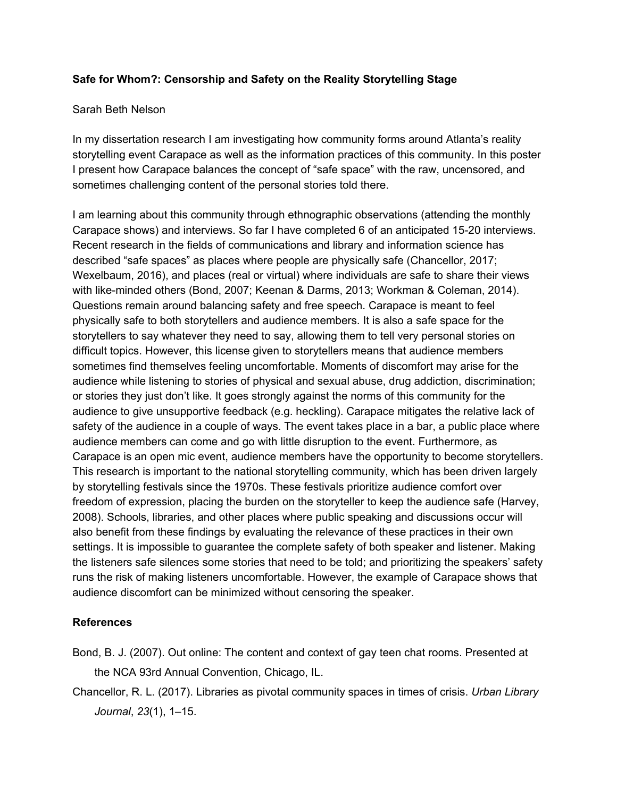## **Safe for Whom?: Censorship and Safety on the Reality Storytelling Stage**

## Sarah Beth Nelson

In my dissertation research I am investigating how community forms around Atlanta's reality storytelling event Carapace as well as the information practices of this community. In this poster I present how Carapace balances the concept of "safe space" with the raw, uncensored, and sometimes challenging content of the personal stories told there.

I am learning about this community through ethnographic observations (attending the monthly Carapace shows) and interviews. So far I have completed 6 of an anticipated 15-20 interviews. Recent research in the fields of communications and library and information science has described "safe spaces" as places where people are physically safe (Chancellor, 2017; Wexelbaum, 2016), and places (real or virtual) where individuals are safe to share their views with like-minded others (Bond, 2007; Keenan & Darms, 2013; Workman & Coleman, 2014). Questions remain around balancing safety and free speech. Carapace is meant to feel physically safe to both storytellers and audience members. It is also a safe space for the storytellers to say whatever they need to say, allowing them to tell very personal stories on difficult topics. However, this license given to storytellers means that audience members sometimes find themselves feeling uncomfortable. Moments of discomfort may arise for the audience while listening to stories of physical and sexual abuse, drug addiction, discrimination; or stories they just don't like. It goes strongly against the norms of this community for the audience to give unsupportive feedback (e.g. heckling). Carapace mitigates the relative lack of safety of the audience in a couple of ways. The event takes place in a bar, a public place where audience members can come and go with little disruption to the event. Furthermore, as Carapace is an open mic event, audience members have the opportunity to become storytellers. This research is important to the national storytelling community, which has been driven largely by storytelling festivals since the 1970s. These festivals prioritize audience comfort over freedom of expression, placing the burden on the storyteller to keep the audience safe (Harvey, 2008). Schools, libraries, and other places where public speaking and discussions occur will also benefit from these findings by evaluating the relevance of these practices in their own settings. It is impossible to guarantee the complete safety of both speaker and listener. Making the listeners safe silences some stories that need to be told; and prioritizing the speakers' safety runs the risk of making listeners uncomfortable. However, the example of Carapace shows that audience discomfort can be minimized without censoring the speaker.

## **References**

- Bond, B. J. (2007). Out online: The content and context of gay teen chat rooms. Presented at the NCA 93rd Annual Convention, Chicago, IL.
- Chancellor, R. L. (2017). Libraries as pivotal community spaces in times of crisis. *Urban Library Journal*, *23*(1), 1–15.